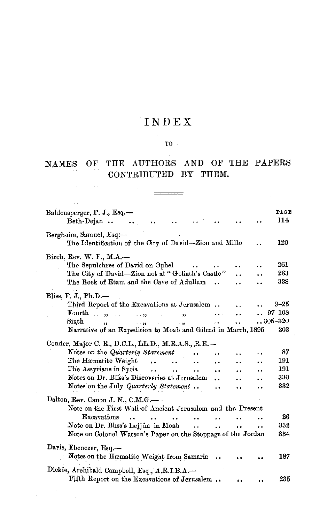## INDEX

## $\mathbf{T0} \in \mathbb{R}^{N \times N}$

### NAMES OF THE AUTHORS AND OF THE PAPERS CONTRIBUTED BY THEM.

 $\frac{1}{2}$ 

 $\sim 10$ 

| Baldensperger, P. J., Esq.—<br>Beth-Dejan                                            |                      |     | PAGE<br>114 |
|--------------------------------------------------------------------------------------|----------------------|-----|-------------|
| Bergheim, Samuel, Esq.-<br>The Identification of the City of David—Zion and Millo    |                      |     | 120         |
| Birch, Rev. W. F., M.A.-                                                             |                      |     |             |
| The Sepulchres of David on Ophel                                                     |                      |     | 261         |
| The City of David-Zion not at "Goliath's Castle"                                     |                      |     | 263         |
| The Rock of Etam and the Cave of Adullam<br>$\sim$                                   |                      |     | 338         |
| Bliss, F. J., Ph.D. $-$                                                              |                      |     |             |
| Third Report of the Excavations at Jerusalem                                         |                      |     | $9 - 25$    |
| Fourth<br>$\sim$ $\sim$ $\sim$<br>$\cdots$<br>$\sim$<br>,                            |                      |     | $97 - 108$  |
| Sixth<br>.<br>وول الناسية ووسيلا الناقو من                                           |                      |     | $305 - 320$ |
| Narrative of an Expedition to Moab and Gilead in March, 1895                         |                      |     | 203         |
|                                                                                      |                      |     |             |
| Conder, Major C. R., D.C.L., LL.D., M.R.A.S., R.E. -                                 |                      |     |             |
| Notes on the Quarterly Statement                                                     |                      |     | 87          |
| The Hæmatite Weight<br>a al<br>$\ddot{\phantom{a}}$<br>. .                           | $\ddot{\phantom{0}}$ |     | 191         |
| The Assyrians in Syria<br>$\ddot{\phantom{a}}$<br>$\ddotsc$<br>$\ddotsc$<br>         |                      |     | 191         |
| Notes on Dr. Bliss's Discoveries at Jerusalem<br>                                    |                      |     | 330         |
| Notes on the July Quarterly Statement<br>$\ddot{\phantom{a}}$                        |                      |     | 332         |
| Dalton, Rev. Canon J. N., C.M.G.                                                     |                      |     |             |
| Note on the First Wall of Ancient Jerusalem and the Present                          |                      |     |             |
| Excavations<br>$\ddot{\phantom{a}}$                                                  |                      |     | 26          |
| Note on Dr. Bliss's Lejjûn in Moab<br>$\ddot{\phantom{a}}$ .<br>$\ddot{\phantom{a}}$ | $\ddot{\phantom{a}}$ | . . | 332         |
| Note on Colonel Watson's Paper on the Stoppage of the Jordan                         |                      |     | 334         |
|                                                                                      |                      |     |             |
| Davis, Ebenezer, Esq.-                                                               |                      |     |             |
| Notes on the Hæmatite Weight from Samaria                                            |                      |     | 187         |
| Dickie, Archibald Campbell, Esq., A.R.I.B.A.                                         |                      |     |             |
| Fifth Report on the Excavations of Jerusalem                                         |                      |     | 235         |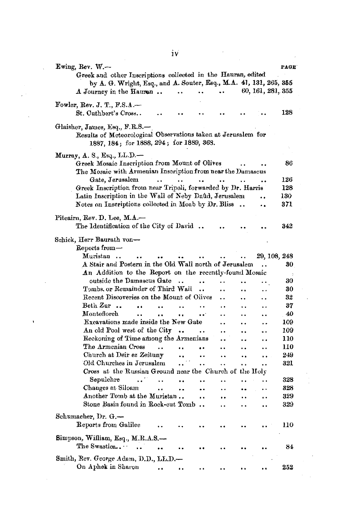| Ewing, Rev. W.-<br>Greek and other Inscriptions collected in the Hauran, edited<br>by A. G. Wright, Esq., and A. Souter, Esq., M.A. 41, 131, 265, 355<br>60, 161, 281, 355<br>A Journey in the Hauren<br>٠.<br>$\ddot{\phantom{1}}$                                             | PAGE       |
|---------------------------------------------------------------------------------------------------------------------------------------------------------------------------------------------------------------------------------------------------------------------------------|------------|
| Fowler, Rev. J. T., F.S. $\Delta$ .<br>St. Cuthbert's Cross                                                                                                                                                                                                                     | 128        |
| Glaisher, James, Esq., F.R.S.-<br>Results of Meteorological Observations taken at Jerusalem for<br>1887, 184; for 1888, 294; for 1889, 368.                                                                                                                                     |            |
| Murray, A. S., Esq., LL.D.—<br>Greek Mosaic Inscription from Mount of Olives<br>The Mosaic with Armenian Inscription from near the Damascus<br>Gate, Jerusalem<br>$\ddotsc$<br>$\ddot{\phantom{a}}$<br>$\ddot{\phantom{a}}$<br>$\ddot{\phantom{a}}$<br>$\ddot{\phantom{a}}$<br> | 86<br>126  |
| Greek Inscription from near Tripoli, forwarded by Dr. Harris                                                                                                                                                                                                                    | 128        |
| Latin Inscription in the Wall of Neby Daûd, Jerusalem                                                                                                                                                                                                                           | 130        |
| Notes on Inscriptions collected in Moab by $\text{Dr. Bliss} \dots$<br>٠.                                                                                                                                                                                                       | 371        |
| Pitcairn, Rev. D. Lee, M.A.—<br>The Identification of the City of David                                                                                                                                                                                                         | 342        |
| Schick, Herr Baurath von-<br>$\rm{Reports}$ from $-$                                                                                                                                                                                                                            |            |
| Muristan<br>29, 108, 248                                                                                                                                                                                                                                                        |            |
| A Stair and Postern in the Old Wall north of Jerusalem                                                                                                                                                                                                                          | 30         |
| An Addition to the Report on the recently-found Mosaic                                                                                                                                                                                                                          |            |
| outside the Damascus Gate<br>$\sim$<br><br>$\ddot{\phantom{0}}$<br>$\ddot{\phantom{a}}$<br>$\ddot{\phantom{0}}$                                                                                                                                                                 | 30         |
| Tombs, or Remainder of Third Wall<br>$\ddot{\phantom{a}}$<br>$\ddot{\phantom{a}}$<br>. .                                                                                                                                                                                        | 30         |
| Recent Discoveries on the Mount of Olives<br>٠.<br>٠.                                                                                                                                                                                                                           | 32         |
| Beth $Z$ ur<br>$\ddot{\phantom{a}}$<br>$\ddot{\phantom{a}}$<br>$\ddot{\phantom{a}}$<br>. .<br>. .                                                                                                                                                                               | 37         |
| $\bf{Montefloreh}$<br>$\ddot{\phantom{a}}$<br>$\ddot{\phantom{a}}$<br>$\ddot{\phantom{a}}$<br>۰.<br>. .<br>. .<br>٠.                                                                                                                                                            | 40         |
| Excavations made inside the New Gate<br>. .<br>. .                                                                                                                                                                                                                              | 109        |
| An old Pool west of the City<br>$\bullet\bullet$<br><br><br><br>                                                                                                                                                                                                                | 109        |
| Reckoning of Time among the Armenians<br>. .<br>$\ddot{\phantom{1}}$<br>$\ddot{\phantom{0}}$                                                                                                                                                                                    | 110        |
| The Armenian Cross<br>$\ddot{\phantom{a}}$<br><br>۰.<br>$\ddot{\phantom{a}}$<br>٠.<br>$\ddot{\phantom{0}}$                                                                                                                                                                      | 110        |
| Church at Deir ez Zeituny<br>$\ddot{\phantom{a}}$<br>$\ddot{\phantom{a}}$<br>$\ddot{\phantom{a}}$<br>. .<br>. .                                                                                                                                                                 | 249        |
| Old Churches in Jerusalem<br>$\ddot{\phantom{a}}$<br>$\ddot{\phantom{1}}$<br>$\ddot{\phantom{0}}$<br>$\bullet$ .<br>                                                                                                                                                            | 321        |
| Cross at the Russian Ground near the Church of the Holy                                                                                                                                                                                                                         |            |
| Sepulchre<br>$\ddot{\phantom{0}}$<br><br>٠.<br>. .<br>$\ddot{\phantom{a}}$<br>$\ddot{\phantom{0}}$                                                                                                                                                                              | 328        |
| Changes at Siloam<br>$\ddot{\phantom{a}}$<br>٠.<br><br>. .<br>$\ddot{\phantom{1}}$<br><br>Another Tomb at the Muristan                                                                                                                                                          | 328<br>329 |
| $\ddot{\phantom{0}}$<br>$\ddot{\phantom{1}}$<br><br>$\ddot{\phantom{a}}$<br>Stone Basin found in Rock-cut Tomb                                                                                                                                                                  | 329        |
| . .<br>$\ddot{\phantom{0}}$<br>                                                                                                                                                                                                                                                 |            |
| Schumacher, Dr. G.-<br>Reports from Galilee                                                                                                                                                                                                                                     | 110        |
| Simpson, William, Esq., M.R.A.S.-<br>The Swastica<br>$\cdots$                                                                                                                                                                                                                   | 84         |
|                                                                                                                                                                                                                                                                                 |            |
| Smith, Rev. George Adam, D.D., LL.D.—<br>On Aphek in Sharon<br>$\ddot{\phantom{a}}$                                                                                                                                                                                             | 252        |

ł,

ł,

 $\ddot{\phantom{0}}$ 

 $\epsilon_{\rm{eff}}$ 

 $\frac{1}{2}$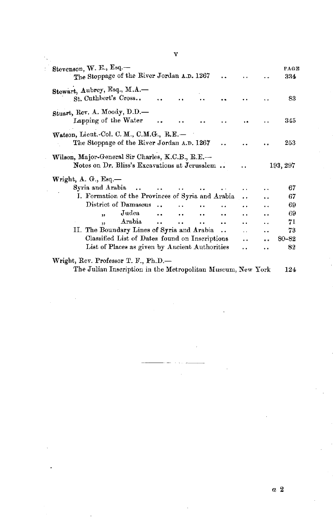| Stevenson, W. E., Esq.-<br>The Stoppage of the River Jordan A.D. 1267<br>د د                      |                      |     | PAGE<br>334 |
|---------------------------------------------------------------------------------------------------|----------------------|-----|-------------|
| Stewart, Aubrey, Esq., M.A.-<br>St. Cuthbert's Cross                                              |                      |     | 83          |
| Stuart, Rev. A. Moody, D.D.-<br>Lapping of the Water                                              |                      |     | 345         |
| Watson, Lieut.-Col. C. M., C.M.G., R.E.-<br>The Stoppage of the River Jordan A.D. 1267<br>. .     |                      |     | 253         |
| Wilson, Major-General Sir Charles, K.C.B., R.E.-<br>Notes on Dr. Bliss's Excavations at Jerusalem |                      |     | 193, 297    |
| Wright, $A. G. Esq.$                                                                              |                      |     |             |
| Syria and Arabia<br>$\cdots$<br>$\ddot{\phantom{a}}$<br>$\ddotsc$                                 |                      |     | 67          |
| I. Formation of the Provinces of Syria and Arabia                                                 | $\ddot{\phantom{0}}$ |     | 67          |
| District of Damascus.                                                                             | $\ddot{\phantom{1}}$ | . . | 69          |
| Judea<br>$\ddot{\phantom{a}}$<br>,,                                                               | $\ddot{\phantom{1}}$ | . . | 69          |
| Arabia<br>$\ddot{\phantom{a}}$<br>$\ddot{\phantom{a}}$<br>$\ddot{\phantom{a}}$<br>٠,              | $\ddot{\phantom{0}}$ | . . | 71          |
| II. The Boundary Lines of Syria and Arabia<br>$\ddot{\phantom{a}}$                                | . .                  |     | 73          |
| Classified List of Dates found on Inscriptions                                                    | . .                  |     | 80-82       |
| List of Places as given by Ancient Authorities                                                    | . .                  | . . | 82          |
| Wright, Rev. Professor T. F., Ph.D.—                                                              |                      |     |             |
| The Julian Inscription in the Metropolitan Museum, New York                                       |                      |     | 124         |

**V**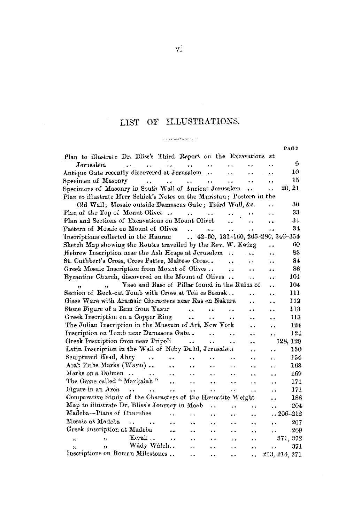# LIST OF ILLUSTRATIONS. المتعصصات

PAGE

|                                                                                  |                                              |                                       |                      |                        |                      |                      | ratt              |
|----------------------------------------------------------------------------------|----------------------------------------------|---------------------------------------|----------------------|------------------------|----------------------|----------------------|-------------------|
| Plan to illustrate Dr. Bliss's Third Report on the Excavations at                |                                              |                                       |                      |                        |                      |                      |                   |
| Jerusalem<br>$\ddot{\phantom{0}}$<br>$\ddot{\phantom{a}}$                        | $\ddot{\phantom{a}}$<br>$\ddot{\phantom{0}}$ |                                       |                      |                        |                      | $\ddot{\phantom{0}}$ | 9                 |
| Antique Gate recently discovered at Jerusalem                                    |                                              | $\ddot{\phantom{1}}$ .                |                      | $\ddot{\phantom{1}}$   | . .                  | $\ddot{\phantom{1}}$ | 10                |
|                                                                                  |                                              | $\ddot{\phantom{0}}$                  |                      | $\ddot{\phantom{a}}$   |                      | $\ddot{\phantom{0}}$ | 15                |
| Specimens of Masonry in South Wall of Ancient Jerusalem                          |                                              |                                       |                      |                        | $\ddot{\phantom{a}}$ | . .                  | 20, 21            |
| Plan to illustrate Herr Schick's Notes on the Muristan; Postern in the           |                                              |                                       |                      |                        |                      |                      |                   |
| Old Wall; Mosaic outside Damascus Gate; Third Wall, &c.                          |                                              |                                       |                      |                        |                      |                      | 30                |
| Plan of the Top of Mount Olivet $\ldots$ .                                       |                                              |                                       |                      |                        |                      |                      | 33                |
| Plan and Sections of Excavations on Mount Olivet                                 |                                              |                                       |                      | $\ddot{\phantom{a}}$   | $\ddot{\phantom{a}}$ | $\ddot{\phantom{a}}$ | 34                |
| Pattern of Mosaic on Mount of Olives                                             |                                              | $\sim$ $\sim$<br>$\ddot{\phantom{a}}$ |                      | $\ddot{\phantom{0}}$   | $\ddot{\phantom{a}}$ |                      | 34                |
| Inscriptions collected in the Hauran $42-60$ , $131-160$ , $265-280$ , $346-354$ |                                              |                                       |                      |                        |                      |                      |                   |
| Sketch Map showing the Routes travelled by the Rev. W. Ewing                     |                                              |                                       |                      |                        |                      | $\ddot{\phantom{a}}$ | 60                |
| Hebrew Inscription near the Ash Heaps at Jerusalem.                              |                                              |                                       |                      |                        | $\sim$ and           | . .                  | 83                |
| St. Cuthbert's Cross, Cross Pattee, Maltese Cross                                |                                              |                                       |                      | $\ddot{\phantom{0}}$   | . .                  | . .                  | 84                |
| Greek Mosaic Inscription from Mount of Olives                                    |                                              |                                       |                      | $\ddot{\phantom{a}}$   | $\ddot{\phantom{a}}$ |                      | 86                |
| Byzantine Church, discovered on the Mount of Olives                              |                                              |                                       |                      |                        | $\ddot{\phantom{a}}$ | . .                  | 101               |
| Vase and Base of Pillar found in the Ruins of<br>$\ddot{\mathbf{r}}$             |                                              |                                       |                      |                        |                      | . .                  | 104               |
| Section of Rock-cut Tomb with Cross at Tell es Samak                             |                                              |                                       |                      |                        | $\ddot{\phantom{a}}$ | . .                  | 111               |
| Glass Ware with Aramaic Characters near Ras en Nakura                            |                                              |                                       |                      |                        | $\ddot{\phantom{a}}$ |                      | 112               |
| Stone Figure of a Ram from Yazur                                                 | $\ddot{\phantom{a}}$                         | $\sim 100$ km s $^{-1}$               |                      | $\ddot{\phantom{a}}$   | . .                  | ٠.                   | 113               |
| Greek Inscription on a Copper Ring                                               | $\ddot{\phantom{a}}$                         |                                       | $\ddot{\phantom{a}}$ | $\ddot{\phantom{a}}$ . | ٠.                   | $\ddot{\phantom{a}}$ | 113               |
| The Julian Inscription in the Museum of Art, New York                            |                                              |                                       |                      |                        | $\ddot{\phantom{0}}$ | . .                  | 124               |
| Inscription on Tomb near Damascus Gate                                           |                                              | $\ddot{\phantom{a}}$                  |                      |                        | $\ddot{\phantom{a}}$ |                      | 124               |
| Greek Inscription from near Tripoli                                              |                                              | <b>Contract Contract</b>              | $\ddot{\phantom{a}}$ | $\ddot{\phantom{a}}$   | ٠.                   |                      | 128, 129          |
| Latin Inscription in the Wall of Neby Daud, Jerusalem                            |                                              |                                       |                      |                        | . .                  | ٠.                   | 130               |
| Sculptured Head, Ahry<br>$\ddotsc$                                               | $\ddot{\phantom{a}}$<br>$\ddot{\phantom{0}}$ |                                       | $\ddot{\phantom{0}}$ |                        | ٠.                   | μ.                   | 154               |
| Arab Tribe Marks (Wasm)                                                          | $\ddot{\phantom{a}}$<br>$\ddot{\phantom{0}}$ |                                       | $\ddot{\phantom{1}}$ | $\mathbf{r}$ .         | $\ddot{\phantom{1}}$ | $\ddot{\phantom{0}}$ | 163               |
| Marks on a Dolmen                                                                | $\sim$<br>$\ddot{\phantom{a}}$               |                                       | . .                  | . .                    | . .                  | $\ddot{\phantom{0}}$ | 169               |
| The Game called "Mankalah"<br>$\sim$ 100 $\pm$                                   |                                              | $\ddot{\phantom{1}}$                  | $\ddot{\phantom{0}}$ | $\ddot{\phantom{0}}$   | . .                  | v.                   | 171               |
| Figure in an Arch $\ldots$ .                                                     | $\sim$                                       | $\ddot{\phantom{a}}$                  | . .                  | $\ddot{\phantom{a}}$   | . .                  | . .                  | 171               |
| Comparative Study of the Characters of the Hæmatite Weight                       |                                              |                                       |                      |                        |                      | . .                  | 188               |
| Map to illustrate Dr. Bliss's Journey in Moab                                    |                                              |                                       | $\ddot{\phantom{a}}$ | .,                     | . .                  | $\ddot{\phantom{a}}$ | 204               |
| Madeba-Plans of Churches                                                         | $\ddot{\phantom{a}}$                         | $\ddot{\phantom{0}}$                  | $\ddot{\phantom{0}}$ | Ω.                     | . .                  |                      | $\ldots 206$ –212 |
| Mosaic at Madeba                                                                 |                                              | ٠.                                    | $\ddot{\phantom{0}}$ | $\ddot{\phantom{1}}$   | . .                  | $\ddot{\phantom{0}}$ | 207               |
| Greek Inscription at Madeba                                                      | ٠.                                           | $\ddot{\phantom{a}}$                  |                      | i.                     |                      |                      | 209               |
| $,$ Kerak.<br>33                                                                 | $\ddot{\phantom{a}}$                         | $\ddot{\phantom{a}}$                  | $\ddot{\phantom{0}}$ | ٠.                     | .,                   |                      | 371, 372          |
| Wâdy Wâleh<br>$\overline{\mathbf{z}}$                                            |                                              | $\mathbf{r}$ .                        | $\ddot{\phantom{1}}$ | $\ddot{\phantom{a}}$   | $\ddot{\phantom{a}}$ | $\sim$               | 371               |
| Inscriptions on Roman Milestones                                                 |                                              | . .                                   | $\ddot{\phantom{a}}$ | $\ddot{\phantom{a}}$   |                      |                      | 213, 214, 371     |
|                                                                                  |                                              |                                       |                      |                        |                      |                      |                   |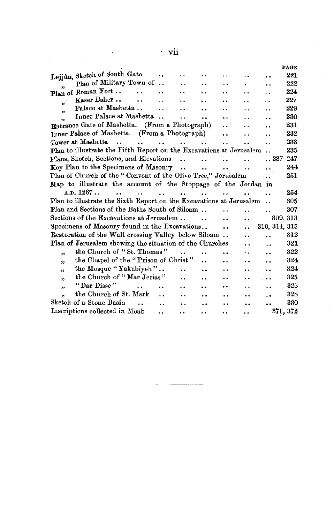|                                                                                                                                                                                                        |                      | vii                  |                      |                      |     |                 |                                                                                              |
|--------------------------------------------------------------------------------------------------------------------------------------------------------------------------------------------------------|----------------------|----------------------|----------------------|----------------------|-----|-----------------|----------------------------------------------------------------------------------------------|
|                                                                                                                                                                                                        |                      |                      |                      |                      |     |                 | PAGE                                                                                         |
| Lejjûn, Sketch of South Gate                                                                                                                                                                           |                      |                      |                      |                      |     |                 | 221                                                                                          |
| Plan of Military Town of                                                                                                                                                                               |                      |                      |                      |                      |     |                 | 222                                                                                          |
| Plan of Roman Fort                                                                                                                                                                                     |                      |                      |                      |                      |     |                 | 224                                                                                          |
| Kaser Bsher<br>$\ddot{\phantom{a}}$<br>$\ddot{ }$                                                                                                                                                      |                      |                      |                      |                      |     |                 | 227                                                                                          |
| Palace at Mashetta<br>53                                                                                                                                                                               |                      |                      |                      |                      |     |                 | 229                                                                                          |
| Inner Palace at Mashetta                                                                                                                                                                               | $\ddot{\phantom{a}}$ |                      |                      |                      |     |                 | 230                                                                                          |
| Entrance Gate of Mashetta. (From a Photograph)                                                                                                                                                         |                      |                      |                      |                      |     |                 | 231                                                                                          |
| Inner Palace of Mashetta. (From a Photograph)                                                                                                                                                          |                      |                      |                      | . .                  |     |                 | 232                                                                                          |
| Tower at Mashetta<br>$\ddot{\phantom{a}}$<br>$\ddot{\phantom{a}}$                                                                                                                                      | $\ddot{\phantom{a}}$ | $\mathbf{A}$         |                      | . .                  |     |                 | 233                                                                                          |
| Plan to illustrate the Fifth Report on the Excavations at Jerusalem.                                                                                                                                   |                      |                      |                      |                      |     |                 | 235                                                                                          |
| Plans, Sketch, Sections, and Elevations.                                                                                                                                                               |                      | $\ddot{\phantom{a}}$ | $\ddot{\phantom{a}}$ | $\ddot{\phantom{a}}$ |     | $. . 237 - 247$ |                                                                                              |
| Key Plan to the Specimens of Masonry                                                                                                                                                                   |                      | $\ddot{\phantom{a}}$ | $\ddot{\phantom{a}}$ | Ω.                   |     |                 | 244                                                                                          |
| Plan of Church of the "Convent of the Olive Tree," Jerusalem                                                                                                                                           |                      |                      |                      |                      |     |                 | 251                                                                                          |
| Map to illustrate the account of the Stoppage of the Jordan in                                                                                                                                         |                      |                      |                      |                      |     |                 |                                                                                              |
|                                                                                                                                                                                                        |                      |                      |                      |                      |     |                 |                                                                                              |
| A.D. 1267                                                                                                                                                                                              |                      | ٠.                   |                      |                      |     |                 |                                                                                              |
|                                                                                                                                                                                                        |                      |                      |                      |                      |     |                 |                                                                                              |
|                                                                                                                                                                                                        |                      |                      |                      |                      |     |                 |                                                                                              |
| Sections of the Excavations at Jerusalem                                                                                                                                                               |                      |                      | $\ddot{\phantom{a}}$ |                      |     |                 |                                                                                              |
|                                                                                                                                                                                                        |                      |                      |                      | $\ddot{\phantom{0}}$ | . . | 310, 314, 315   |                                                                                              |
| Restoration of the Wall crossing Valley below Siloam.                                                                                                                                                  |                      |                      |                      |                      |     |                 |                                                                                              |
| Plan of Jerusalem showing the situation of the Churches                                                                                                                                                |                      |                      |                      |                      |     |                 |                                                                                              |
| the Church of "St. Thomas"<br>$\ddot{\phantom{a}}$                                                                                                                                                     |                      |                      | . .                  | $\ddot{\phantom{0}}$ |     |                 |                                                                                              |
| the Chapel of the "Prison of Christ"<br>,,                                                                                                                                                             |                      |                      |                      |                      |     |                 |                                                                                              |
| the Mosque "Yakubiyeh"<br>93                                                                                                                                                                           |                      | . .                  |                      |                      |     |                 |                                                                                              |
| the Church of "Mar Jerias"<br>$\ddot{\phantom{a}}$                                                                                                                                                     |                      |                      |                      |                      |     |                 |                                                                                              |
| "Dar Disse"<br>,,                                                                                                                                                                                      |                      |                      |                      |                      |     |                 |                                                                                              |
| Plan to illustrate the Sixth Report on the Excavations at Jerusalem<br>Plan and Sections of the Baths South of Siloam<br>Specimens of Masonry found in the Excavations<br>the Church of St. Mark<br>y, | $\ddot{\phantom{a}}$ |                      |                      |                      |     |                 |                                                                                              |
| Sketch of a Stone Basin<br>$\ddot{\phantom{a}}$                                                                                                                                                        | $\ddot{\phantom{a}}$ |                      |                      |                      |     |                 | 254<br>305<br>307<br>309, 313<br>312<br>321<br>322<br>324<br>324<br>325<br>326<br>328<br>330 |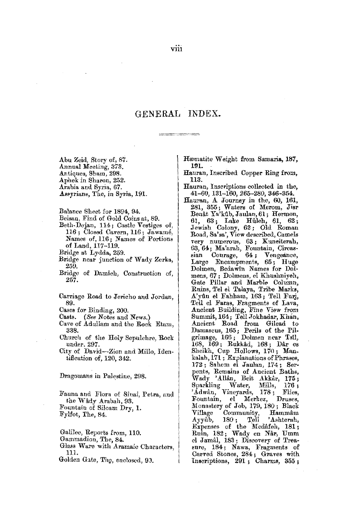#### GENERAL INDEX.

- - - - - - -

Abu Zeid, Story of, 87. Annual Meeting, 373. Antiques, Sham, 298. Aphek in Sharon, 252. Arabia and Syria, 67. Assyrians, The, in Syria, 191.

Balance Sheet for 1894, 94.

- Beisan, Find of Gold Coins at, 89.
- Beth-Dejan, 114; Castle Vestiges of, 116; Closed Cavern, 116; Jawamé, Names of, 116; Names of Portions of Land, 117-119.
- Bridge at Lydda, 259.
- Bridge near junction of Wady Zerka, 259.
- Bridge of Damieh, Construction of, 257.
- Carriage Road to Jericho and Jordan, 89.
- Cases for Binding, 200.
- Casts. (See Notes and News.)
- Cave of Adullam and the Rock Etam, 338.
- Church of the Holy Sepulchre, Rock under. 297.
- City of David-Zion and Millo, Identification of, 120, 342.

Dragomans in Palestine, 298.

Fauna and Flora of Sinai, Petra, and the Wâdy Arabah, 93. Fountain of Siloam Dry, 1. Fylfot, The, 84.

Galilee, Reports from, 110.

- Gammadion, The, 84.
- Glass Ware with Aramaic Characters, 111.

Golden Gate, The, enclosed, 90.

Hæmatite Weight from Samaria, 187, 191.

- Hauran, Inscribed Copper Ring from, 113.
- Hauran, Inscriptions collected in the, 41-60, 131-160, 265-280, 346-354.
- Hauran, A Journey in the, 60, 161, 281, 355; Waters of Merom, Jisr Benåt Ya'kûb, Jaulan, 61; Hermon, 61, 63; Lake Hûleh, 61, 62;<br>Jewish Colony, 62; Old Roman Road, Sa'sa', View described, Camels very numerous, 63; Kuneiterah, 63, 64; Ma'arah, Fountain, Circassian Courage, 64; Vengeance, Large Encampments, 65; Huge Dolmen, Bedawin Names for Dolmens, 67; Dolmens, el Khushniyeh, Gate Pillar and Marble Column, Ruins, Tel el Talaya, Tribe Marks, A'yûn el Fahham, 163; Tell Furj, Tell el Faras, Fragments of Lava, Ancient Building, Fine View from Summit, 164; Tell Jokhadar, Khan, Ancient Road from Gilead to Damascus, 165; Perils of the Pilgrimage, 166; Dolmen near Tsil, 168, 169; Rukkâd, 168; Dâr es Sheikh, Cup Hollows, 170; Man-kalah, 171; Explanations of Phrases, 172; Sahem el Jaulan, 174; Serpents, Remains of Ancient Baths, Wady 'Allan, Beit Akkar, 175; Sparkling Water, Mills,  $176:$ 'Adwân, Vineyards, 178; Flies. Druses, Fountain, el Merkez, Monastery of Job, 179, 180; Black Village Community, Hammâm 'Ashterah, Ayyûb,  $180;$ Tell Expenses of the Medafeh, 181;<br>Ruin, 182; Wady en Når, Umm el Jamâl, 183; Discovery of Treasure, 184; Nawa, Fragments of Carved Stones, 284; Graves with Inscriptions, 291; Charms, 355;

viii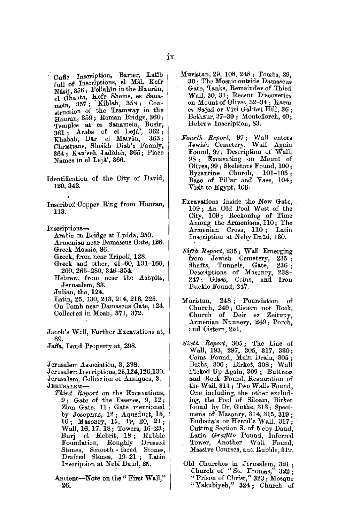- Cufic Inscription, Barter, Latib<br>full of Inscriptions, el Mâl, Kefr Nâsij, 356; Fellahîn in the Haurân. el Ghauta, Kefr Shems, es Sanamein, 357; Kiblah, 358; Construction of the Tramway in the Hauran, 359 ; Roman Bridge, 360; Temples at ea Sanamein, Busir,  $\overline{361}$ ; Arabs of el Lejá',  $362$ ;<br>
Fhabab Dâr el Matrân,  $363$ ; Khabab, Dår el Matran, Christians, Sheikh Diab's Family, 364 ; Kan'iseh J adideh, 365 ; Place Names in el Lejâ', 366.
- Identification of the City of David, 120,342.
- Inscribed Copper Ring from Hauran, 113.
- Insoriptions-
	- Arabic on Bridge at Lydda, 259.
	- Armenian near Damascus Gate, 126. Greek Mosaic, 86.
	- Greek, from near Tripoli, 128.
	- Greek and other, 41-60, 131-160, 209,265-280, 346-354.
	- Hebrew, from near the Ashpits, Jerusalem, 83.
	- Julian, the, **124.**
	- Latin, 25, 130,213,214, **216,** 225.
	- On Tomb near Damascus Gate, 124. Collected in Moab,. 371, 372.

Jacob's Well, Further Excavations at, 89.

JaH'a, Land Property at, 298.

Jerusalem Association, 3, 298.

Jerusalem Inscriptions, 25,124,126,130. Jerusalem, Collection of Antiques, 3.

 $J$ ERUSALEM-

- *Tkird Report* on the Excavations, 9 ; Gate of the Essenes, 9, 12; Zion Gate, 11 ; Gate mentioned by Josephus, 12; Aqueduct, 15, 16; Masonry, 15, 19, 20, 21; Wall, 16, 17, 18; Towers, 16-23; Burj el Kebrit, 18 ; Rubble Foundation, Roughly Dressed Stones, Smooth faced Stones, Drafted Stones, 19-21 ; Latin Inscription at Nebi Daud, 25.
- Ancient-Note on the " First Wall," 26.
- Muristan, 29, 108, 248 ; Tombs, 29, 30 ; The Mosaic outside Damascus Gate, Tanks, Remainder of Third Wall, 30, 31; Recent Discoveries on Mount of Olives, 32-34; Karm es Sajad or Viri Galilæi Hill, 36; Bethzur, 37-39; Montefioreh, 40; Hebrew Inscription, 83.
- *Fourth Report,* 97; Wall enters Jewish Cemetery, Wall Again Fonnd, 97; Description of Wall, 98 ; Excavating on Mount of Olives, 99; Skeletons Found, 100;<br>Byzantine Church, 101-105; Byzantine Church, Base of Pillar and Vase, 104; Visit to Egypt, 106.
- Excavations Inside the New Gate, 109 ; An Old Pool West of the City, 109 ; Reckoning of Time Among the Armenians, 110; The Armenian Cross, 110 ; Latin Inscription at Neby Daud, 130.
- *Fifth Report,* 235 ; Wall Emerging from Jewish Cemetery, 235 ; Shafts, Tunnels, Gate, 236 ; Descriptions of Masonry, 238- 247; Glass, Coins, and Iron Buckle Found, 247.
- Muristan, 248; Foundation of Church, 249; Cistern not Rock,<br>Church of Deir ez Zeituny, Armenian Nunnery, 249; Porch, and Cistern, 251.
- *Sixtk Report,* 305 ; The Line of Wall, 193, 297, 305, 317, 330; Coins Found, Main Drain, 305 ; Baths, 306 ; Birket, 308 ; Wall Picked Up Again, 309 ; Buttress and Rock Found, Restoration of the Wall, 311; Two Walls Found, One including, the other excluding, the Pool of Siloam, Birket found by Dr. Guthe, 313; Specimens of Masonry, 314, 315, 319; Eudocia's or Herod's Wall, 317; Cutting Section S. of Neby Daud, Latin *GraJfito* Found, Inferred Tower, Another Wall Found, Massive Courses, and Rubble, 319.
- Old Churches in Jerusalem, 321; Church of "St. Thomas,"  $322$ ; "Prison of Christ," 323; Mosque "Yakubiyeh," 324; Church of